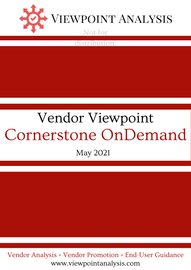

distribution.

# Vendor Viewpoint Cornerstone OnDemand

May 2021

www.viewpointanalysis.com Vendor Analysis + Vendor Promotion + End-User Guidance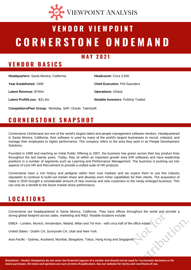

# **C O R N E R S T O N E O N D E M A N D V E N D O R V I E W P O I N T**

#### **M A Y 2 0 2 1**

# **V E N D O R B A S I C S**

**Headquarters:** Santa Monica, California

**Year Established:** 1999

**Latest Revenue:** \$740m

**Latest Profit/Loss:** -\$31.6m

**Headcount:** Circa 3,500 **Chief Executive:** Phil Saunders **Operations:** Global **Notable Investors:** Publicly Traded

**Competitors/Peer Group:** Workday, SAP, Oracle, Talentsoft

# **C O R N E R S T O N E S N A P S H O T**

Cornerstone OnDemand are one of the world's largest talent and people management software vendors. Headquartered in Santa Monica, California, their software is used by many of the world's largest businesses to recruit, onboard, and manage their employees to higher performance. The company refers to the area they work in as People Development Solutions.

Founded in 1999 and reaching an Initial Public Offering in 2007, the business has grown across their key product lines throughout the last twenty years. Today, they sit within an important growth area (HR software) and have leadership positions in a number of segments such as Learning and Performance Management. The business is pushing out into aspects of core HR and Recruitment to provide a unified suite of HR products.

Cornerstone have a rich history and pedigree within their core markets and we expect them to use this industry reputation to continue to build out market share and develop even richer capabilities for their clients. The acquisition of Saba in 2020 brought a considerable amount of new revenue and new customers to the newly enlarged business. This can only be a benefit to the future market share performance.

# **L O C A T I O N S**

Cornerstone are headquartered in Santa Monica, California. They have offices throughout the world and provide a strong global footprint across sales, marketing and R&D. Notable locations include: strong global footprint across sales, marketing and R&D. Notable locations include:<br>
EMEA - London, Munich, Amsterdam, Madrid, Milan and Tel Aviv - with circa half of the office estate<br>
United States - Dublin CA, Sunnyvale

EMEA - London, Munich, Amsterdam, Madrid, Milan and Tel Aviv - with circa half of the office estate.

United States - Dublin CA, Sunnyvale CA, Utah and New York.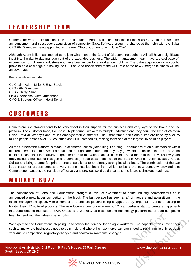# **L E A D E R S H I P T E A M**

Cornerstone were quite unusual in that their founder Adam Miller had run the business as CEO since 1999. The announcement and subsequent acquisition of competitor Saba Software brought a change at the helm with the Saba CEO Phil Saunders being appointed as the new CEO of Cornerstone in June 2020.

Although Adam Miller has stepped-up to joint Chairman of the Board of Directors, no doubt he will still have a significant input into the day to day management of the expanded business. The wider management team have a broad base of experience from different industries and have been in role for a solid amount of time. The Saba acquisition will no doubt prove to be a challenge but having the CEO of Saba transitioned to the CEO role of the newly-merged business will be an advantage.

Key executives include:

Co-Chair - Adam Miller & Elisa Steele CEO - Phil Saunders CFO - Chirag Shah Field Operations - Jeff Lautenbach CMO & Strategy Officer - Heidi Spirgi

# **C U S T O M E R S**

Cornerstone's customers tend to be very vocal in their support for the business and very loyal to the brand and the platform. The customer base, like most HR platforms, sits across multiple industries and they count the likes of Western Union, PayPal, Wendy's and Philips amongst their customers. The Cornerstone and Saba suites are used by over 75 million people across over 180 countries and 6000 companies, making them one of the largest HR solution players.

As the Cornerstone platform is made up of different suites (Recruiting, Learning, Performance et al) customers sit within different elements of the overall product and through careful nurturing they may grow into the unified platform. The Saba customer base itself is relatively fragmented due to the various acquisitions that Saba made in the previous few years (they included the likes of Halogen and Lumesse). Saba customers include the likes of American Airlines, Bupa, Credit Suisse and bring a large footprint of enterprise clients to an already strong installed base. The combination of the two large customer groups creates a very strong installed base from which to build the new company provided that Cornerstone manages the transition effectively and provides solid guidance as to the future technology roadmap.

#### **M A R K E T B U Z Z**

The combination of Saba and Cornerstone brought a level of excitement to some industry commentators as it announced a new, larger competitor on the block. The last decade has seen a raft of mergers and acquisitions in the talent management space, with a number of prominent players being snapped up by larger ERP vendors looking to bolster their HR suite of products. The new Cornerstone, under a new CEO, can perhaps start to create an approach that complements the likes of SAP, Oracle and Workday as a standalone technology platform rather than competing head to head with the industry behemoths.

We expect to see Cornerstone stepping-up to satisfy the demand for an agile workforce - perhaps there has never been such a time where businesses need to be nimble and where their workforce can often need to reskill multiple times each year due to competition, regulatory changes and health/environmental changes. ce - perhaps there has never<br>need to reskill multiple time e - perhaps there has never been<br>need to reskill multiple times each<br>www.viewpointanalysis.com

Viewpoint Analysis Ltd. 3rd Floor, St Paul's House, 23 Park Square South, Leeds. LS1 2ND

www.viewpointanalysis.com

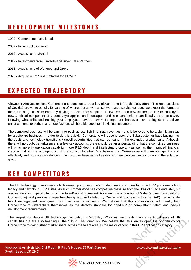# **D E V E L O P M E N T M I L E S T O N E S**

1999 - Cornerstone established.

- 2007 Initial Public Offering.
- 2012 Acquisition of Sonar6.
- 2017 Investments from LinkedIn and Silver Lake Partners.
- 2018 Acquisitions of Workpop and Grovo.
- 2020 Acquisition of Saba Software for \$1.295b

# **E X P E C T E D T R A J E C T O R Y**

Viewpoint Analysis expects Cornerstone to continue to be a key player in the HR technology arena. The repercussions of Covid19 are yet to be fully felt at time of writing, but as with all software as a service vendors, we expect the format of the business (accessible from any device) to help drive adoption of new users and new customers. HR technology is now a critical component of a company's application landscape - and in a pandemic, it can literally be a life saver. Knowing what skills and training your employees have is now more important than ever - and being able to deliver enhancements to both, in a remote fashion, will be a big boost to all existing customers.

The combined business will be aiming to push across \$1b in annual revenues - this is believed to be a significant step for a software business. In order to do this quickly, Cornerstone will depend upon the Saba customer base buying into the goals and technology transitions / upsell opportunities that can be found in the expanded product suite. Although there will no doubt be turbulence in a few key accounts, there should be an understanding that the combined business will bring more in-application capability, more R&D depth and intellectual property - as well as the improved financial stability that will be a by-product of the coming together. We believe that Cornerstone will transition quickly and effectively and promote confidence in the customer base as well as drawing new prospective customers to the enlarged group.

## **K E Y C O M P E T I T O R S**

The HR technology components which make up Cornerstone's product suite are often found in ERP platforms - both legacy and new cloud ERP suites. As such, Cornerstone see competitive pressure from the likes of Oracle and SAP, but also vendors with specific focus on the talent/recruiting market. Following the acquisition of Saba (a direct competitor of Cornerstone) and previous competitors being acquired (Taleo by Oracle and SuccessFactors by SAP) the 'at scale' talent management peer group has diminished significantly. We believe that this consolidation will greatly help Cornerstone to differentiate themselves as the defacto standard for non-ERP or non-platform talent and people development requirements.

The largest standalone HR technology competitor is Workday. Workday are creating an exceptional suite of HR capabilities but are also heading in the 'Cloud ERP' direction. We believe that this leaves open the opportunity for Cornerstone to gain further market share across the talent area as the major vendor in this HR application category. Franceptional suite<br>Franception category<br>Franception category<br>Contractory leaves open the opportunity for<br>this HR application category.<br>WWW.viewpointanalysis.com

Viewpoint Analysis Ltd. 3rd Floor, St Paul's House, 23 Park Square South, Leeds. LS1 2ND



www.viewpointanalysis.com

 $\overrightarrow{p}$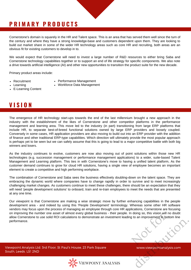# **P R I M A R Y P R O D U C T S**

Cornerstone's domain is squarely in the HR and Talent space. This is an area that has served them well since the turn of the century and where they have a strong knowledge-base and customers dependent upon them. They are looking to build out market share in some of the wider HR technology areas such as core HR and recruiting, both areas are an obvious fit for existing customers to develop in to.

We would expect that Cornerstone will need to invest a large number of R&D resources to either bring Saba and Cornerstone technology capabilities together or to support an end of life strategy for specific components. We also note a drive towards artificial intelligence (AI) and other new opportunities to transition the product suite for the new decade.

Primary product areas include:

- Recruitment
- Performance Management

• Learning

- Workforce Data Management
- E-Learning Content

# **V I S I O N**

The emergence of HR technology start-ups towards the end of the last millennium brought a new approach in the industry with the establishment of the likes of Cornerstone and other competitor platforms in the performance management and learning area. This move led to the industry (in part) transitioning from large ERP platforms that include HR, to separate best-of-breed functional solutions owned by large ERP providers and loosely coupled. Conversely in some cases, HR application providers are also moving to build out into an ERP provider with the addition of finance and other traditional ERP-type capabilities. Which direction will ultimately provide the most popular approach is perhaps yet to be seen but we can safely assume that this is going to lead to a major competitive battle with both big winners and losers.

As the industry continues to evolve, customers are now also moving out of point solutions within those new HR technologies (e.g. succession management or performance management applications) to a wider, suite-based Talent Management and Learning platform. This ties in with Cornerstone's move to having a unified talent platform, As the customer demand continues to grow for cloud HR solutions, having a single view of employee becomes an important element to create a competitive and high performing workplace.

The combination of Cornerstone and Saba sees the business effectively doubling-down on the talent space. They are embracing the dynamic world where companies have to change rapidly in order to survive and to meet increasingly challenging market changes. As customers continue to meet these challenges, there should be an expectation that they will need 'people development solutions' to onboard, train and re-train employees to meet the needs that are presented at any one time.

Our viewpoint is that Cornerstone are making a wise strategic move by further enhancing capabilities in the people development area - and indeed by using this 'People Development' terminology. Whereas some other HR software vendors may focus upon the process of managing an employee through core HR applications, Cornerstone are focusing on improving the number one asset of almost every global business - their people. In doing so, this vision will no doubt allow Cornerstone to use solid ROI calculations to demonstrate an investment leading to an improvement in bottom line performance. so, this vision will not WWW.viewpointanalysis.com

Viewpoint Analysis Ltd. 3rd Floor, St Paul's House, 23 Park Square South, Leeds. LS1 2ND



www.viewpointanalysis.com

 $\overrightarrow{p}$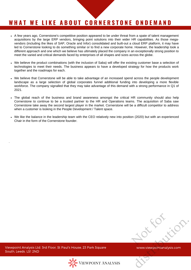# WHAT WE LIKE ABOUT CORNERSTONE ONDEMAND

- A few years ago, Cornerstone's competitive position appeared to be under threat from a spate of talent management acquisitions by the large ERP vendors, bringing point solutions into their wider HR capabilities. As those megavendors (including the likes of SAP, Oracle and Infor) consolidated and built-out a cloud ERP platform, it may have led to Cornerstone looking to do something similar or to find a new corporate home. However, the leadership took a different approach and one which we believe has ultimately placed the company in an exceptionally strong position to meet the varied and critical demands faced by enterprises of all shapes and sizes across the globe.
- We believe the product combinations (with the inclusion of Saba) will offer the existing customer base a selection of technologies to meet their needs. The business appears to have a developed strategy for how the products work together and the roadmaps for each.
- We believe that Cornerstone will be able to take advantage of an increased spend across the people development landscape as a large selection of global corporates funnel additional funding into developing a more flexible workforce. The company signalled that they may take advantage of this demand with a strong performance in Q1 of 2021.
- The global reach of the business and brand awareness amongst the critical HR community should also help Cornerstone to continue to be a trusted partner to the HR and Operations teams. The acquisition of Saba saw Cornerstone take away the second largest player in the market. Cornerstone will be a difficult competitor to address when a customer is looking in the People Development / Talent space.
- We like the balance in the leadership team with the CEO relatively new into position (2020) but with an experienced Chair in the form of the Cornerstone founder.

 $\overrightarrow{p}$ ot sot Microsoft Microsoft Wilder

Viewpoint Analysis Ltd. 3rd Floor, St Paul's House, 23 Park Square South, Leeds. LS1 2ND

.



www.viewpointanalysis.com